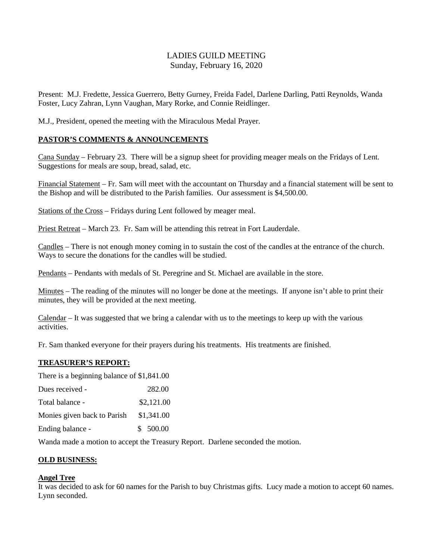## LADIES GUILD MEETING Sunday, February 16, 2020

Present: M.J. Fredette, Jessica Guerrero, Betty Gurney, Freida Fadel, Darlene Darling, Patti Reynolds, Wanda Foster, Lucy Zahran, Lynn Vaughan, Mary Rorke, and Connie Reidlinger.

M.J., President, opened the meeting with the Miraculous Medal Prayer.

#### **PASTOR'S COMMENTS & ANNOUNCEMENTS**

Cana Sunday – February 23. There will be a signup sheet for providing meager meals on the Fridays of Lent. Suggestions for meals are soup, bread, salad, etc.

Financial Statement – Fr. Sam will meet with the accountant on Thursday and a financial statement will be sent to the Bishop and will be distributed to the Parish families. Our assessment is \$4,500.00.

Stations of the Cross – Fridays during Lent followed by meager meal.

Priest Retreat – March 23. Fr. Sam will be attending this retreat in Fort Lauderdale.

Candles – There is not enough money coming in to sustain the cost of the candles at the entrance of the church. Ways to secure the donations for the candles will be studied.

Pendants – Pendants with medals of St. Peregrine and St. Michael are available in the store.

Minutes – The reading of the minutes will no longer be done at the meetings. If anyone isn't able to print their minutes, they will be provided at the next meeting.

Calendar – It was suggested that we bring a calendar with us to the meetings to keep up with the various activities.

Fr. Sam thanked everyone for their prayers during his treatments. His treatments are finished.

#### **TREASURER'S REPORT:**

There is a beginning balance of \$1,841.00

| Dues received -             | 282.00     |
|-----------------------------|------------|
| Total balance -             | \$2,121.00 |
| Monies given back to Parish | \$1,341.00 |
| Ending balance -            | \$500.00   |

Wanda made a motion to accept the Treasury Report. Darlene seconded the motion.

#### **OLD BUSINESS:**

#### **Angel Tree**

It was decided to ask for 60 names for the Parish to buy Christmas gifts. Lucy made a motion to accept 60 names. Lynn seconded.